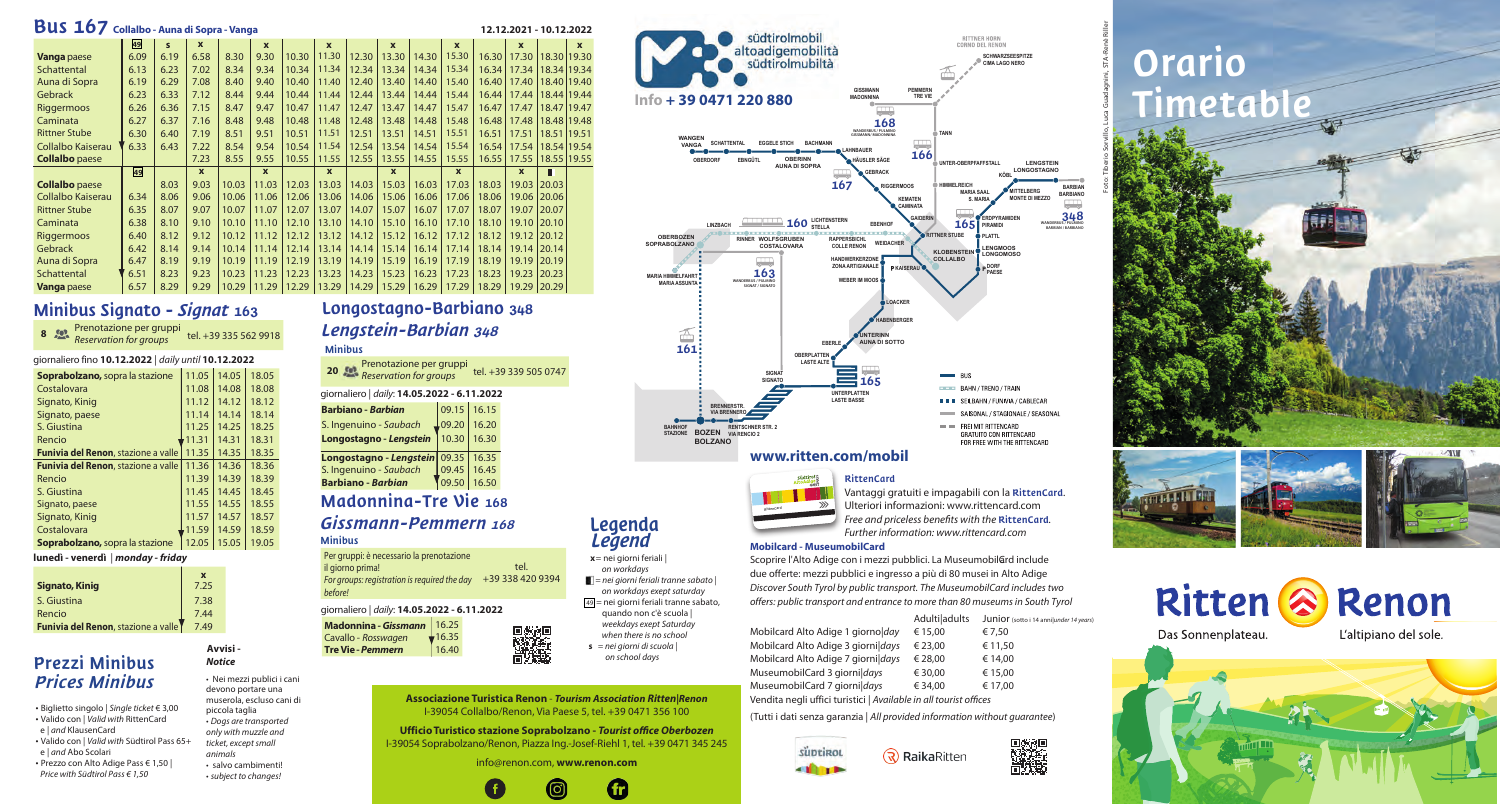#### **Associazione Turistica Renon** - *Tourism Association Ritten|Renon* I-39054 Collalbo/Renon, Via Paese 5, tel. +39 0471 356 100

**Ufficio Turistico stazione Soprabolzano -** *Tourist office Oberbozen* I-39054 Soprabolzano/Renon, Piazza Ing.-Josef-Riehl 1, tel. +39 0471 345 245

#### info@renon.com, **www.renon.com**



# Orario Timetable

Foto: Tiberio Sorvillo, Luca Guadagnini, STA-Renè Riller









Scoprire l'Alto Adige con i mezzi pubblici. La MuseumobilGrd include due offerte: mezzi pubblici e ingresso a più di 80 musei in Alto Adige *Discover South Tyrol by public transport. The MuseumobilCard includes two offers: public transport and entrance to more than* 8*0 museums in South Tyrol*

• Biglietto singolo | Single ticket € 3,00 • Valido con | Valid with RittenCard e | and KlausenCard

**Legenda** Legend **x** = nei giorni feriali| on workdays

 $\blacksquare$  = nei giorni feriali tranne sabato | on workdays exept saturday 49 = nei giorni feriali tranne sabato, quando non c'è scuola | weekdays exept Saturday when there is no school  $s =$  *nei giorni di scuola* | on school days

giornaliero fino **10.12.2022** | *daily until* **10.12.2022** 

| <b>Bus 167</b><br>Collalbo - Auna di Sopra - Vanga<br>12.12.2021 - 10.12.2022<br>$\mathbf{x}$ |                                                                                                                                        |      |              |       |              |       |              |       |              |       |              |       |              |               |  |
|-----------------------------------------------------------------------------------------------|----------------------------------------------------------------------------------------------------------------------------------------|------|--------------|-------|--------------|-------|--------------|-------|--------------|-------|--------------|-------|--------------|---------------|--|
|                                                                                               | 49<br>$\mathbf x$<br>$\mathbf{s}$<br>$\mathbf{x}$<br>$\boldsymbol{x}$<br>$\boldsymbol{x}$<br>$\boldsymbol{\mathsf{x}}$<br>$\mathbf{x}$ |      |              |       |              |       |              |       |              |       |              |       |              |               |  |
| <b>Vanga</b> paese                                                                            | 6.09                                                                                                                                   | 6.19 | 6.58         | 8.30  | 9.30         | 10.30 | 11.30        | 12.30 | 13.30        | 14.30 | 15.30        | 16.30 | 17.30        | 18.30 19.30   |  |
| Schattental                                                                                   | 6.13                                                                                                                                   | 6.23 | 7.02         | 8.34  | 9.34         | 10.34 | 11.34        | 12.34 | 13.34        | 14.34 | 15.34        | 16.34 | 17.34        | 18.34 19.34   |  |
| Auna di Sopra                                                                                 | 6.19                                                                                                                                   | 6.29 | 7.08         | 8.40  | 9.40         | 10.40 | 11.40        | 12.40 | 13.40        | 14.40 | 15.40        | 16.40 | 17.40        | 18.40 19.40   |  |
| Gebrack                                                                                       | 6.23                                                                                                                                   | 6.33 | 7.12         | 8.44  | 9.44         | 10.44 | 11.44        | 12.44 | 13.44        | 14.44 | 15.44        | 16.44 | 17.44        | 18.44 19.44   |  |
| Riggermoos                                                                                    | 6.26                                                                                                                                   | 6.36 | 7.15         | 8.47  | 9.47         | 10.47 | 11.47        | 12.47 | 13.47        | 14.47 | 15.47        | 16.47 | 17.47        | 18.47 19.47   |  |
| Caminata                                                                                      | 6.27                                                                                                                                   | 6.37 | 7.16         | 8.48  | 9.48         | 10.48 | 11.48        | 12.48 | 13.48        | 14.48 | 15.48        | 16.48 | 17.48        | 18.48 19.48   |  |
| <b>Rittner Stube</b>                                                                          | 6.30                                                                                                                                   | 6.40 | 7.19         | 8.51  | 9.51         | 10.51 | 11.51        | 12.51 | 13.51        | 14.51 | 15.51        | 16.51 | 17.51        | 18.51   19.51 |  |
| Collalbo Kaiserau                                                                             | 6.33                                                                                                                                   | 6.43 | 7.22         | 8.54  | 9.54         | 10.54 | 11.54        | 12.54 | 13.54        | 14.54 | 15.54        | 16.54 | 17.54        | 18.54 19.54   |  |
| <b>Collalbo</b> paese                                                                         |                                                                                                                                        |      | 7.23         | 8.55  | 9.55         | 10.55 | 11.55        | 12.55 | 13.55        | 14.55 | 15.55        | 16.55 | 17.55        | 18.55 19.55   |  |
|                                                                                               | 49                                                                                                                                     |      | $\mathbf{x}$ |       | $\mathbf{x}$ |       | $\mathbf{x}$ |       | $\mathbf{x}$ |       | $\mathbf{x}$ |       | $\mathbf{x}$ | П             |  |
| <b>Collalbo</b> paese                                                                         |                                                                                                                                        | 8.03 | 9.03         | 10.03 | 11.03        | 12.03 | 13.03        | 14.03 | 15.03        | 16.03 | 17.03        | 18.03 | 19.03        | 20.03         |  |
| Collalbo Kaiserau                                                                             | 6.34                                                                                                                                   | 8.06 | 9.06         | 10.06 | 11.06        | 12.06 | 13.06        | 14.06 | 15.06        | 16.06 | 17.06        | 18.06 | 19.06        | 20.06         |  |
| <b>Rittner Stube</b>                                                                          | 6.35                                                                                                                                   | 8.07 | 9.07         | 10.07 | 11.07        | 12.07 | 13.07        | 14.07 | 15.07        | 16.07 | 17.07        | 18.07 | 19.07        | 20.07         |  |
| Caminata                                                                                      | 6.38                                                                                                                                   | 8.10 | 9.10         | 10.10 | 11.10        | 12.10 | 13.10        | 14.10 | 15.10        | 16.10 | 17.10        | 18.10 | 19.10        | 20.10         |  |
| Riggermoos                                                                                    | 6.40                                                                                                                                   | 8.12 | 9.12         | 10.12 | 11.12        | 12.12 | 13.12        | 14.12 | 15.12        | 16.12 | 17.12        | 18.12 | 19.12        | 20.12         |  |
| Gebrack                                                                                       | 6.42                                                                                                                                   | 8.14 | 9.14         | 10.14 | 11.14        | 12.14 | 13.14        | 14.14 | 15.14        | 16.14 | 17.14        | 18.14 | 19.14        | 20.14         |  |
| Auna di Sopra                                                                                 | 6.47                                                                                                                                   | 8.19 | 9.19         | 10.19 | 11.19        | 12.19 | 13.19        | 14.19 | 15.19        | 16.19 | 17.19        | 18.19 | 19.19        | 20.19         |  |
| Schattental                                                                                   | 6.51                                                                                                                                   | 8.23 | 9.23         | 10.23 | 11.23        | 12.23 | 13.23        | 14.23 | 15.23        | 16.23 | 17.23        | 18.23 | 19.23        | 20.23         |  |
| <b>Vanga</b> paese                                                                            | 6.57                                                                                                                                   | 8.29 | 9.29         | 10.29 | 11.29        | 12.29 | 13.29        | 14.29 | 15.29        | 16.29 | 17.29        | 18.29 | 19.29 20.29  |               |  |

# Minibus Signato - Signat 163

| <b>Soprabolzano, sopra la stazione</b>      | 11.05 | 14.05 | 18.05 |
|---------------------------------------------|-------|-------|-------|
| Costalovara                                 | 11.08 | 14.08 | 18.08 |
| Signato, Kinig                              | 11.12 | 14.12 | 18.12 |
| Signato, paese                              | 11.14 | 14.14 | 18.14 |
| S. Giustina                                 | 11.25 | 14.25 | 18.25 |
| Rencio                                      | 11.31 | 14.31 | 18.31 |
| <b>Funivia del Renon, stazione a valle</b>  | 11.35 | 14.35 | 18.35 |
| <b>Funivia del Renon</b> , stazione a valle | 11.36 | 14.36 | 18.36 |
| Rencio                                      | 11.39 | 14.39 | 18.39 |
| S. Giustina                                 | 11.45 | 14.45 | 18.45 |
| Signato, paese                              | 11.55 | 14.55 | 18.55 |
| Signato, Kinig                              | 11.57 | 14.57 | 18.57 |
| Costalovara                                 | 11.59 | 14.59 | 18.59 |
| <b>Soprabolzano, sopra la stazione</b>      | 12.05 | 15.05 | 19.05 |

**lunedì - venerdì** | *monday - friday*

| <b>Signato, Kinig</b>                       | 7.25 |
|---------------------------------------------|------|
| S. Giustina                                 | 7.38 |
| Rencio                                      | 7.44 |
| <b>Funivia del Renon</b> , stazione a valle | 7.49 |

|  |  | 8 Prenotazione per gruppi<br><b>Reservation for groups</b> | tel. +39 335 562 9918 |
|--|--|------------------------------------------------------------|-----------------------|
|--|--|------------------------------------------------------------|-----------------------|

RittenCard Vantaggi gratuiti e impagabili con la RittenCard. Ulteriori informazioni: www.rittencard.com *Free and priceless benefits with the* RittenCard*. Further information: www.rittencard.com*

| Adulti adults | Junior (sotto i 14 anni under 14 years) |
|---------------|-----------------------------------------|
|---------------|-----------------------------------------|

| Mobilcard Alto Adige 1 giorno day                                            | € 15.00 | € 7.50  |
|------------------------------------------------------------------------------|---------|---------|
| Mobilcard Alto Adige 3 giornildays                                           | € 23.00 | € 11,50 |
| Mobilcard Alto Adige 7 giorni days                                           | € 28.00 | € 14,00 |
| MuseumobilCard 3 giornildays                                                 | € 30.00 | € 15,00 |
| MuseumobilCard 7 giornildays                                                 | € 34.00 | € 17,00 |
| وموككم ومناسبها المروز والملوانين فالمنطق بالتناس والأكس نالو وسواح والمناسب |         |         |

Vendita negli uffici turistici | *Available in all tourist offices*

**RaikaRitten** 

(Tutti i dati senza garanzia | *All provided information without guarantee*)









#### **www.ritten.com/mobil**

#### **Mobilcard - MuseumobilCard**

Madonnina-Tre Vie 168

#### Gissmann-Pemmern <sup>168</sup> Minibus

# Longostagno-Barbiano 348 Lengstein-Barbian <sup>348</sup>

#### Minibus

|  | giornaliero   <i>daily</i> : <b>14.05.2022 - 6.11.2022</b> |  |
|--|------------------------------------------------------------|--|
|--|------------------------------------------------------------|--|

| <b>Barbiano - Barbian</b>           |             | $09.15$   16.15 |  |
|-------------------------------------|-------------|-----------------|--|
| S. Ingenuino - Saubach              | $L_{09.20}$ | 16.20           |  |
| Longostagno - Lengstein             | 10.30       | 16.30           |  |
| Longostagno - Lengstein 09.35 16.35 |             |                 |  |
| S. Ingenuino - Saubach              | 09.45       | 16.45           |  |
| <b>Barbiano - Barbian</b>           | 09.50       | 16.50           |  |
|                                     |             |                 |  |

| <b>20</b> Prenotazione per gruppi<br>Reservation for groups | tel. +39 339 505 0747 |
|-------------------------------------------------------------|-----------------------|
|                                                             |                       |

#### giornaliero | *daily*: **14.05.2022 - 6.11.2022**







#### Per gruppi: è necessario la prenotazione

il giorno prima! For groups: registration is required the day +39 338 420 9394 before! tel.

# Prezzi Minibus Prices Minibus

- Valido con | Valid with Südtirol Pass 65+
- e | and Abo Scolari • Prezzo con Alto Adige Pass € 1,50 |
- Price with Südtirol Pass € 1,50

only with muzzle and

**Avvisi -**  *Notice* 

• Nei mezzi publici i cani devono portare una muserola, escluso cani di piccola taglia • *Dogs are transported* ticket, except small animals • salvo cambimenti! • subject to changes!